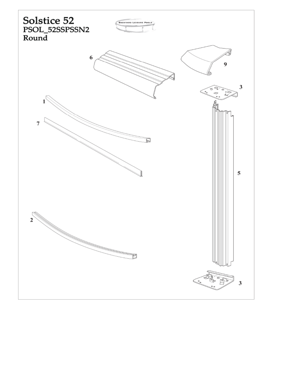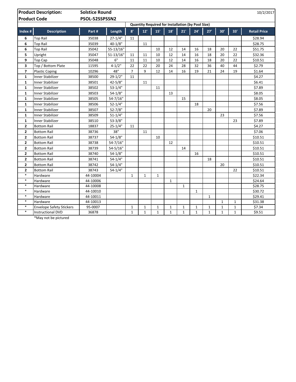| <b>Product Description:</b><br><b>Product Code</b> |                                 | <b>Solstice Round</b><br>10/2/2017<br>PSOL-52SSPSSN2     |              |                |              |              |              |              |              |              |              |              |                     |
|----------------------------------------------------|---------------------------------|----------------------------------------------------------|--------------|----------------|--------------|--------------|--------------|--------------|--------------|--------------|--------------|--------------|---------------------|
|                                                    |                                 | <b>Quantity Required for Installation (by Pool Size)</b> |              |                |              |              |              |              |              |              |              |              |                     |
| Index #                                            | <b>Description</b>              | Part#                                                    | Length       | 8'             | 12'          | 15'          | 18'          | 21'          | 24'          | 27'          | 30'          | 33'          | <b>Retail Price</b> |
| 6                                                  | <b>Top Rail</b>                 | 35038                                                    | $27 - 1/4"$  | 11             |              |              |              |              |              |              |              |              | \$28.94             |
| 6                                                  | <b>Top Rail</b>                 | 35039                                                    | $40 - 1/8"$  |                | 11           |              |              |              |              |              |              |              | \$28.75             |
| 6                                                  | <b>Top Rail</b>                 | 35042                                                    | 55-13/16"    |                |              | 10           | 12           | 14           | 16           | 18           | 20           | 22           | \$51.75             |
| 5                                                  | Upright                         | 35047                                                    | $51 - 13/16$ | 11             | 11           | 10           | 12           | 14           | 16           | 18           | 20           | 22           | \$32.36             |
| 9                                                  | Top Cap                         | 35048                                                    | 6"           | 11             | 11           | 10           | 12           | 14           | 16           | 18           | 20           | 22           | \$10.51             |
| 3                                                  | Top / Bottom Plate              | 11595                                                    | $4 - 1/2"$   | 22             | 22           | 20           | 24           | 28           | 32           | 36           | 40           | 44           | \$2.79              |
| $\overline{7}$                                     | <b>Plastic Coping</b>           | 10296                                                    | 48"          | $\overline{7}$ | 9            | 12           | 14           | 16           | 19           | 21           | 24           | 19           | \$1.64              |
| $\mathbf{1}$                                       | <b>Inner Stabilizer</b>         | 38500                                                    | $29-1/2"$    | 11             |              |              |              |              |              |              |              |              | \$4.27              |
| $\mathbf{1}$                                       | <b>Inner Stabilizer</b>         | 38501                                                    | $42 - 5/8"$  |                | 11           |              |              |              |              |              |              |              | \$6.41              |
| $\mathbf{1}$                                       | Inner Stabilizer                | 38502                                                    | $53-1/4"$    |                |              | 11           |              |              |              |              |              |              | \$7.89              |
| $\mathbf{1}$                                       | <b>Inner Stabilizer</b>         | 38503                                                    | $54 - 1/8"$  |                |              |              | 13           |              |              |              |              |              | \$8.05              |
| $\mathbf{1}$                                       | Inner Stabilizer                | 38505                                                    | $54 - 7/16"$ |                |              |              |              | 15           |              |              |              |              | \$8.05              |
| $\mathbf{1}$                                       | Inner Stabilizer                | 38506                                                    | $52 - 1/4"$  |                |              |              |              |              | 18           |              |              |              | \$7.56              |
| $\mathbf{1}$                                       | <b>Inner Stabilizer</b>         | 38507                                                    | $52 - 7/8"$  |                |              |              |              |              |              | 20           |              |              | \$7.89              |
| $\mathbf{1}$                                       | <b>Inner Stabilizer</b>         | 38509                                                    | $51 - 1/4"$  |                |              |              |              |              |              |              | 23           |              | \$7.56              |
| $\mathbf{1}$                                       | Inner Stabilizer                | 38510                                                    | $53 - 3/8$   |                |              |              |              |              |              |              |              | 23           | \$7.89              |
| $\mathbf{2}$                                       | <b>Bottom Rail</b>              | 18837                                                    | $25 - 1/4"$  | 11             |              |              |              |              |              |              |              |              | \$4.27              |
| $\mathbf{2}$                                       | <b>Bottom Rail</b>              | 38736                                                    | 38"          |                | 11           |              |              |              |              |              |              |              | \$7.06              |
| $\mathbf{2}$                                       | <b>Bottom Rail</b>              | 38737                                                    | $54 - 1/8"$  |                |              | 10           |              |              |              |              |              |              | \$10.51             |
| $\overline{2}$                                     | <b>Bottom Rail</b>              | 38738                                                    | $54 - 7/16"$ |                |              |              | 12           |              |              |              |              |              | \$10.51             |
| $\overline{2}$                                     | <b>Bottom Rail</b>              | 38739                                                    | $54 - 5/16"$ |                |              |              |              | 14           |              |              |              |              | \$10.51             |
| $\overline{2}$                                     | <b>Bottom Rail</b>              | 38740                                                    | $54 - 1/8"$  |                |              |              |              |              | 16           |              |              |              | \$10.51             |
| $\overline{2}$                                     | <b>Bottom Rail</b>              | 38741                                                    | $54 - 1/4"$  |                |              |              |              |              |              | 18           |              |              | \$10.51             |
| $\overline{2}$                                     | <b>Bottom Rail</b>              | 38742                                                    | $54 - 1/4"$  |                |              |              |              |              |              |              | 20           |              | \$10.51             |
| $\overline{\mathbf{2}}$                            | <b>Bottom Rail</b>              | 38743                                                    | $54 - 1/4"$  |                |              |              |              |              |              |              |              | 22           | \$10.51             |
| $\ast$                                             | Hardware                        | 44-10004                                                 |              | $\mathbf{1}$   | $\mathbf{1}$ | $\mathbf{1}$ |              |              |              |              |              |              | \$22.34             |
| $\ast$                                             | Hardware                        | 44-10006                                                 |              |                |              |              | $\mathbf{1}$ |              |              |              |              |              | \$24.64             |
| $\ast$                                             | Hardware                        | 44-10008                                                 |              |                |              |              |              | $\mathbf{1}$ |              |              |              |              | \$28.75             |
| $\ast$                                             | Hardware                        | 44-10010                                                 |              |                |              |              |              |              | $\mathbf{1}$ |              |              |              | \$30.72             |
| $\ast$                                             | Hardware                        | 44-10011                                                 |              |                |              |              |              |              |              | $\mathbf{1}$ |              |              | \$29.41             |
| $\ast$                                             | Hardware                        | 44-10013                                                 |              |                |              |              |              |              |              |              | $\mathbf{1}$ | $\mathbf{1}$ | \$31.38             |
| $\ast$                                             | <b>Envelope Safety Stickers</b> | 95-0007                                                  |              | $\mathbf{1}$   | $\mathbf{1}$ | 1            | 1            | $\mathbf{1}$ | $\mathbf{1}$ | 1            | $\mathbf{1}$ | $\mathbf{1}$ | \$7.34              |
| $\ast$                                             | <b>Instructional DVD</b>        | 36878                                                    |              | $\mathbf{1}$   | $\mathbf{1}$ | $\mathbf{1}$ | $\mathbf{1}$ | $\mathbf{1}$ | $\mathbf{1}$ | $\mathbf{1}$ | $\mathbf{1}$ | $\mathbf{1}$ | $\overline{59.51}$  |

\*May not be pictured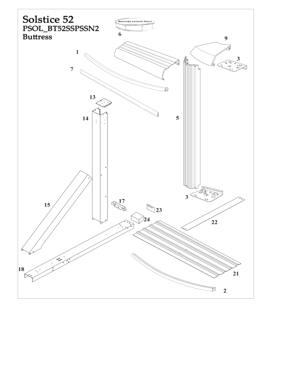